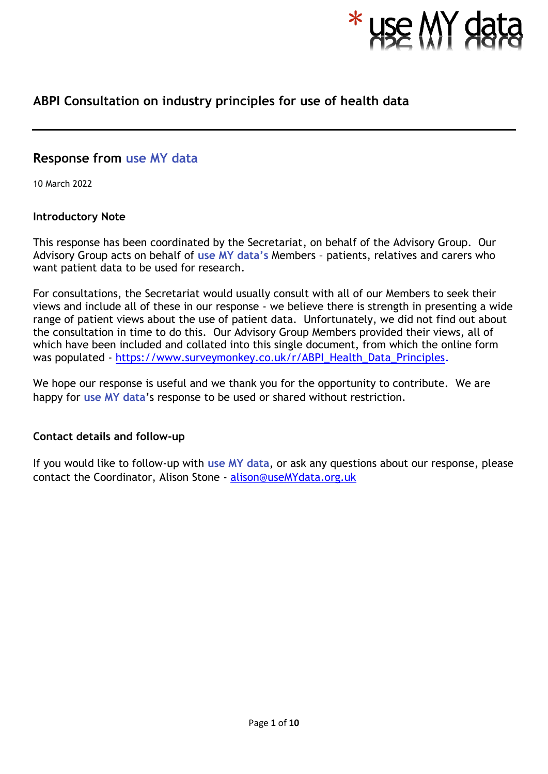

# **ABPI Consultation on industry principles for use of health data**

# **Response from use MY data**

10 March 2022

# **Introductory Note**

This response has been coordinated by the Secretariat, on behalf of the Advisory Group. Our Advisory Group acts on behalf of **use MY data's** Members – patients, relatives and carers who want patient data to be used for research.

For consultations, the Secretariat would usually consult with all of our Members to seek their views and include all of these in our response - we believe there is strength in presenting a wide range of patient views about the use of patient data. Unfortunately, we did not find out about the consultation in time to do this. Our Advisory Group Members provided their views, all of which have been included and collated into this single document, from which the online form was populated - [https://www.surveymonkey.co.uk/r/ABPI\\_Health\\_Data\\_Principles.](https://www.surveymonkey.co.uk/r/ABPI_Health_Data_Principles)

We hope our response is useful and we thank you for the opportunity to contribute. We are happy for **use MY data**'s response to be used or shared without restriction.

# **Contact details and follow-up**

If you would like to follow-up with **use MY data**, or ask any questions about our response, please contact the Coordinator, Alison Stone - [alison@useMYdata.org.uk](mailto:alison@useMYdata.org.uk)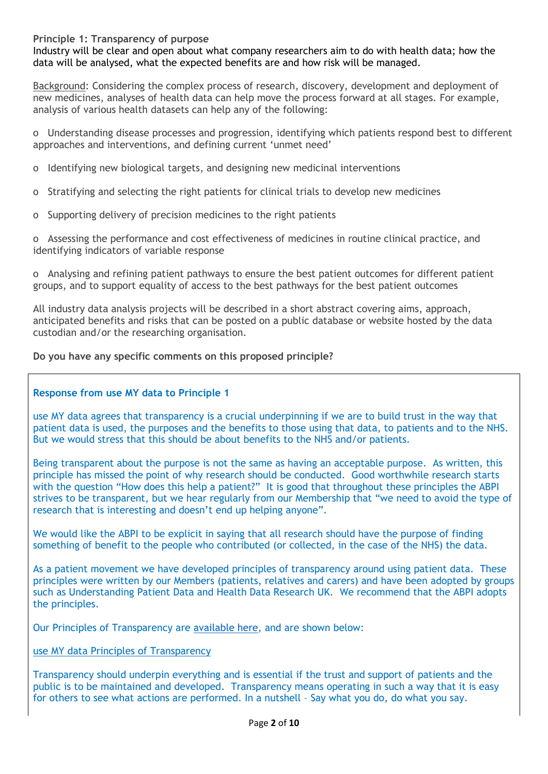#### **Principle 1: Transparency of purpose**

Industry will be clear and open about what company researchers aim to do with health data; how the data will be analysed, what the expected benefits are and how risk will be managed.

Background: Considering the complex process of research, discovery, development and deployment of new medicines, analyses of health data can help move the process forward at all stages. For example, analysis of various health datasets can help any of the following:

o Understanding disease processes and progression, identifying which patients respond best to different approaches and interventions, and defining current 'unmet need'

- o Identifying new biological targets, and designing new medicinal interventions
- o Stratifying and selecting the right patients for clinical trials to develop new medicines
- o Supporting delivery of precision medicines to the right patients

o Assessing the performance and cost effectiveness of medicines in routine clinical practice, and identifying indicators of variable response

o Analysing and refining patient pathways to ensure the best patient outcomes for different patient groups, and to support equality of access to the best pathways for the best patient outcomes

All industry data analysis projects will be described in a short abstract covering aims, approach, anticipated benefits and risks that can be posted on a public database or website hosted by the data custodian and/or the researching organisation.

#### **Do you have any specific comments on this proposed principle?**

#### **Response from use MY data to Principle 1**

use MY data agrees that transparency is a crucial underpinning if we are to build trust in the way that patient data is used, the purposes and the benefits to those using that data, to patients and to the NHS. But we would stress that this should be about benefits to the NHS and/or patients.

Being transparent about the purpose is not the same as having an acceptable purpose. As written, this principle has missed the point of why research should be conducted. Good worthwhile research starts with the question "How does this help a patient?" It is good that throughout these principles the ABPI strives to be transparent, but we hear regularly from our Membership that "we need to avoid the type of research that is interesting and doesn't end up helping anyone".

We would like the ABPI to be explicit in saying that all research should have the purpose of finding something of benefit to the people who contributed (or collected, in the case of the NHS) the data.

As a patient movement we have developed principles of transparency around using patient data. These principles were written by our Members (patients, relatives and carers) and have been adopted by groups such as Understanding Patient Data and Health Data Research UK. We recommend that the ABPI adopts the principles.

Our Principles of Transparency are [available](https://www.usemydata.org/projects.php?project=4) here, and are shown below:

#### use MY data Principles of Transparency

Transparency should underpin everything and is essential if the trust and support of patients and the public is to be maintained and developed. Transparency means operating in such a way that it is easy for others to see what actions are performed. In a nutshell – Say what you do, do what you say.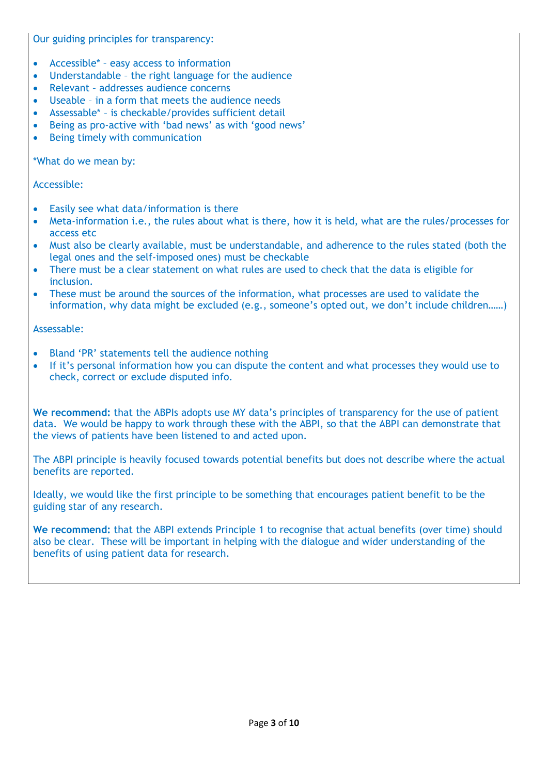Our guiding principles for transparency:

- Accessible\* easy access to information
- Understandable the right language for the audience
- Relevant addresses audience concerns
- Useable in a form that meets the audience needs
- Assessable\* is checkable/provides sufficient detail
- Being as pro-active with 'bad news' as with 'good news'
- Being timely with communication

\*What do we mean by:

#### Accessible:

- Easily see what data/information is there
- Meta-information i.e., the rules about what is there, how it is held, what are the rules/processes for access etc
- Must also be clearly available, must be understandable, and adherence to the rules stated (both the legal ones and the self-imposed ones) must be checkable
- There must be a clear statement on what rules are used to check that the data is eligible for inclusion.
- These must be around the sources of the information, what processes are used to validate the information, why data might be excluded (e.g., someone's opted out, we don't include children……)

#### Assessable:

- Bland 'PR' statements tell the audience nothing
- If it's personal information how you can dispute the content and what processes they would use to check, correct or exclude disputed info.

**We recommend:** that the ABPIs adopts use MY data's principles of transparency for the use of patient data. We would be happy to work through these with the ABPI, so that the ABPI can demonstrate that the views of patients have been listened to and acted upon.

The ABPI principle is heavily focused towards potential benefits but does not describe where the actual benefits are reported.

Ideally, we would like the first principle to be something that encourages patient benefit to be the guiding star of any research.

**We recommend:** that the ABPI extends Principle 1 to recognise that actual benefits (over time) should also be clear. These will be important in helping with the dialogue and wider understanding of the benefits of using patient data for research.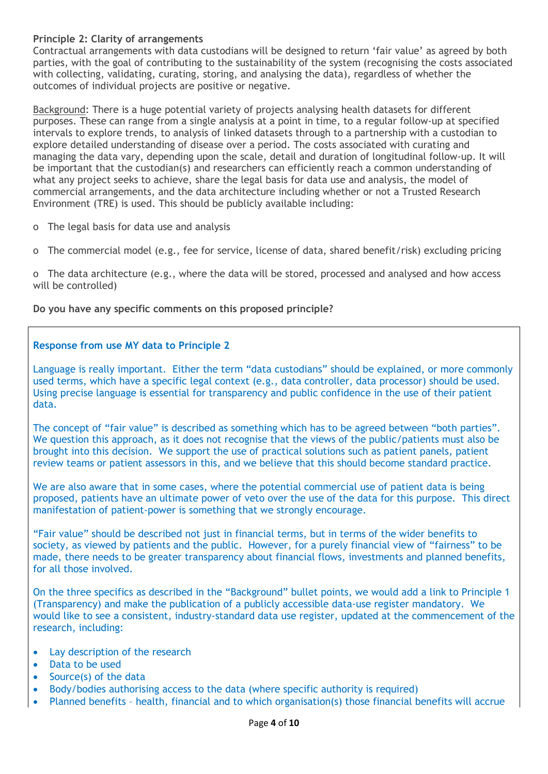# **Principle 2: Clarity of arrangements**

Contractual arrangements with data custodians will be designed to return 'fair value' as agreed by both parties, with the goal of contributing to the sustainability of the system (recognising the costs associated with collecting, validating, curating, storing, and analysing the data), regardless of whether the outcomes of individual projects are positive or negative.

Background: There is a huge potential variety of projects analysing health datasets for different purposes. These can range from a single analysis at a point in time, to a regular follow-up at specified intervals to explore trends, to analysis of linked datasets through to a partnership with a custodian to explore detailed understanding of disease over a period. The costs associated with curating and managing the data vary, depending upon the scale, detail and duration of longitudinal follow-up. It will be important that the custodian(s) and researchers can efficiently reach a common understanding of what any project seeks to achieve, share the legal basis for data use and analysis, the model of commercial arrangements, and the data architecture including whether or not a Trusted Research Environment (TRE) is used. This should be publicly available including:

- o The legal basis for data use and analysis
- o The commercial model (e.g., fee for service, license of data, shared benefit/risk) excluding pricing

o The data architecture (e.g., where the data will be stored, processed and analysed and how access will be controlled)

**Do you have any specific comments on this proposed principle?**

# **Response from use MY data to Principle 2**

Language is really important. Either the term "data custodians" should be explained, or more commonly used terms, which have a specific legal context (e.g., data controller, data processor) should be used. Using precise language is essential for transparency and public confidence in the use of their patient data.

The concept of "fair value" is described as something which has to be agreed between "both parties". We question this approach, as it does not recognise that the views of the public/patients must also be brought into this decision. We support the use of practical solutions such as patient panels, patient review teams or patient assessors in this, and we believe that this should become standard practice.

We are also aware that in some cases, where the potential commercial use of patient data is being proposed, patients have an ultimate power of veto over the use of the data for this purpose. This direct manifestation of patient-power is something that we strongly encourage.

"Fair value" should be described not just in financial terms, but in terms of the wider benefits to society, as viewed by patients and the public. However, for a purely financial view of "fairness" to be made, there needs to be greater transparency about financial flows, investments and planned benefits, for all those involved.

On the three specifics as described in the "Background" bullet points, we would add a link to Principle 1 (Transparency) and make the publication of a publicly accessible data-use register mandatory. We would like to see a consistent, industry-standard data use register, updated at the commencement of the research, including:

- Lay description of the research
- Data to be used
- Source(s) of the data
- Body/bodies authorising access to the data (where specific authority is required)
- Planned benefits health, financial and to which organisation(s) those financial benefits will accrue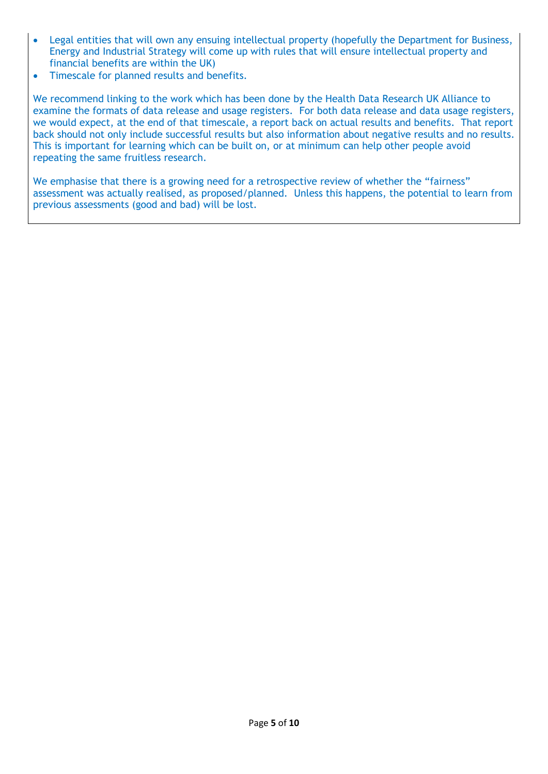- Legal entities that will own any ensuing intellectual property (hopefully the Department for Business, Energy and Industrial Strategy will come up with rules that will ensure intellectual property and financial benefits are within the UK)
- Timescale for planned results and benefits.

We recommend linking to the work which has been done by the Health Data Research UK Alliance to examine the formats of data release and usage registers. For both data release and data usage registers, we would expect, at the end of that timescale, a report back on actual results and benefits. That report back should not only include successful results but also information about negative results and no results. This is important for learning which can be built on, or at minimum can help other people avoid repeating the same fruitless research.

We emphasise that there is a growing need for a retrospective review of whether the "fairness" assessment was actually realised, as proposed/planned. Unless this happens, the potential to learn from previous assessments (good and bad) will be lost.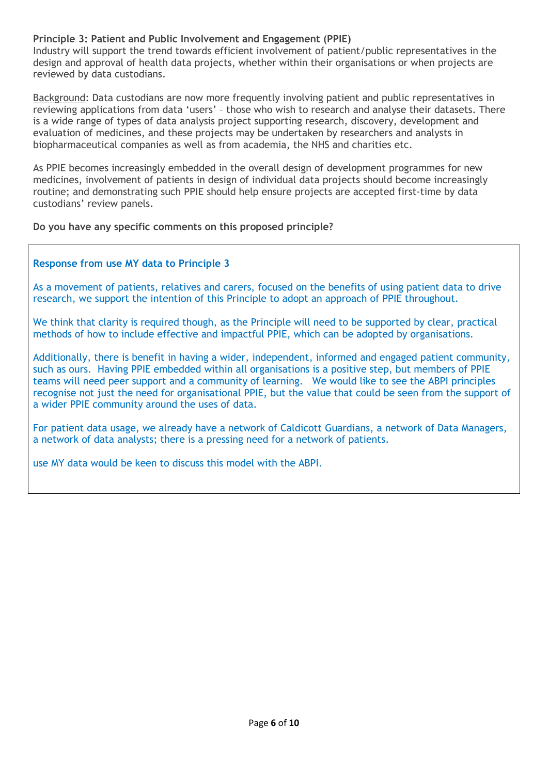# **Principle 3: Patient and Public Involvement and Engagement (PPIE)**

Industry will support the trend towards efficient involvement of patient/public representatives in the design and approval of health data projects, whether within their organisations or when projects are reviewed by data custodians.

Background: Data custodians are now more frequently involving patient and public representatives in reviewing applications from data 'users' – those who wish to research and analyse their datasets. There is a wide range of types of data analysis project supporting research, discovery, development and evaluation of medicines, and these projects may be undertaken by researchers and analysts in biopharmaceutical companies as well as from academia, the NHS and charities etc.

As PPIE becomes increasingly embedded in the overall design of development programmes for new medicines, involvement of patients in design of individual data projects should become increasingly routine; and demonstrating such PPIE should help ensure projects are accepted first-time by data custodians' review panels.

**Do you have any specific comments on this proposed principle?**

#### **Response from use MY data to Principle 3**

As a movement of patients, relatives and carers, focused on the benefits of using patient data to drive research, we support the intention of this Principle to adopt an approach of PPIE throughout.

We think that clarity is required though, as the Principle will need to be supported by clear, practical methods of how to include effective and impactful PPIE, which can be adopted by organisations.

Additionally, there is benefit in having a wider, independent, informed and engaged patient community, such as ours. Having PPIE embedded within all organisations is a positive step, but members of PPIE teams will need peer support and a community of learning. We would like to see the ABPI principles recognise not just the need for organisational PPIE, but the value that could be seen from the support of a wider PPIE community around the uses of data.

For patient data usage, we already have a network of Caldicott Guardians, a network of Data Managers, a network of data analysts; there is a pressing need for a network of patients.

use MY data would be keen to discuss this model with the ABPI.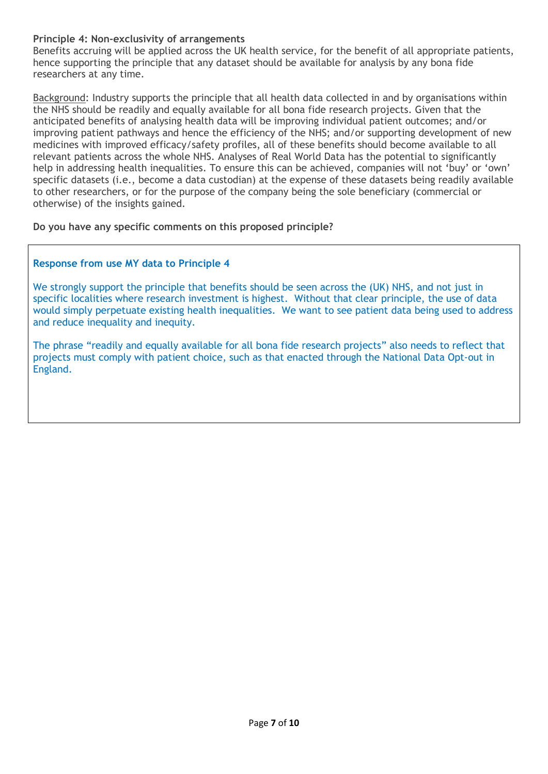# **Principle 4: Non-exclusivity of arrangements**

Benefits accruing will be applied across the UK health service, for the benefit of all appropriate patients, hence supporting the principle that any dataset should be available for analysis by any bona fide researchers at any time.

Background: Industry supports the principle that all health data collected in and by organisations within the NHS should be readily and equally available for all bona fide research projects. Given that the anticipated benefits of analysing health data will be improving individual patient outcomes; and/or improving patient pathways and hence the efficiency of the NHS; and/or supporting development of new medicines with improved efficacy/safety profiles, all of these benefits should become available to all relevant patients across the whole NHS. Analyses of Real World Data has the potential to significantly help in addressing health inequalities. To ensure this can be achieved, companies will not 'buy' or 'own' specific datasets (i.e., become a data custodian) at the expense of these datasets being readily available to other researchers, or for the purpose of the company being the sole beneficiary (commercial or otherwise) of the insights gained.

**Do you have any specific comments on this proposed principle?**

# **Response from use MY data to Principle 4**

We strongly support the principle that benefits should be seen across the (UK) NHS, and not just in specific localities where research investment is highest. Without that clear principle, the use of data would simply perpetuate existing health inequalities. We want to see patient data being used to address and reduce inequality and inequity.

The phrase "readily and equally available for all bona fide research projects" also needs to reflect that projects must comply with patient choice, such as that enacted through the National Data Opt-out in England.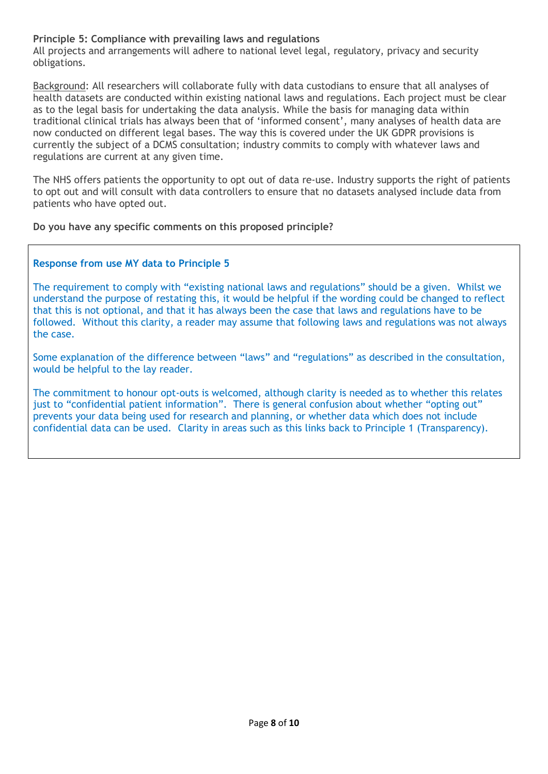# **Principle 5: Compliance with prevailing laws and regulations**

All projects and arrangements will adhere to national level legal, regulatory, privacy and security obligations.

Background: All researchers will collaborate fully with data custodians to ensure that all analyses of health datasets are conducted within existing national laws and regulations. Each project must be clear as to the legal basis for undertaking the data analysis. While the basis for managing data within traditional clinical trials has always been that of 'informed consent', many analyses of health data are now conducted on different legal bases. The way this is covered under the UK GDPR provisions is currently the subject of a DCMS consultation; industry commits to comply with whatever laws and regulations are current at any given time.

The NHS offers patients the opportunity to opt out of data re-use. Industry supports the right of patients to opt out and will consult with data controllers to ensure that no datasets analysed include data from patients who have opted out.

**Do you have any specific comments on this proposed principle?**

#### **Response from use MY data to Principle 5**

The requirement to comply with "existing national laws and regulations" should be a given. Whilst we understand the purpose of restating this, it would be helpful if the wording could be changed to reflect that this is not optional, and that it has always been the case that laws and regulations have to be followed. Without this clarity, a reader may assume that following laws and regulations was not always the case.

Some explanation of the difference between "laws" and "regulations" as described in the consultation, would be helpful to the lay reader.

The commitment to honour opt-outs is welcomed, although clarity is needed as to whether this relates just to "confidential patient information". There is general confusion about whether "opting out" prevents your data being used for research and planning, or whether data which does not include confidential data can be used. Clarity in areas such as this links back to Principle 1 (Transparency).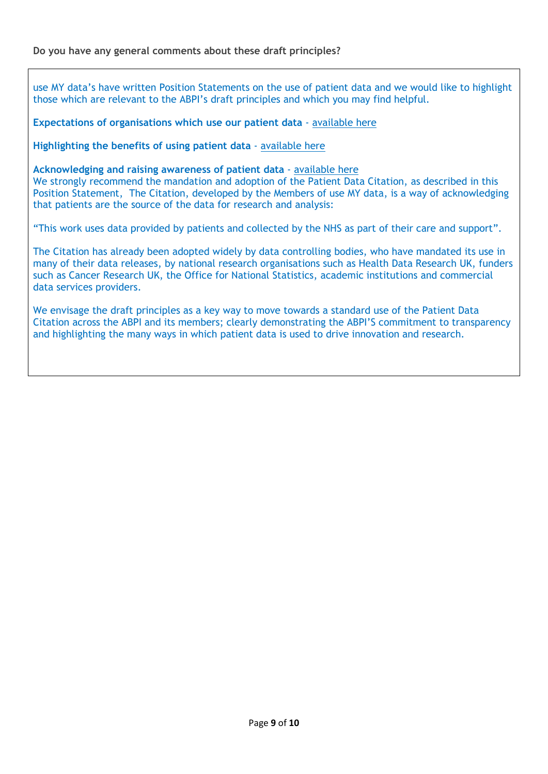use MY data's have written Position Statements on the use of patient data and we would like to highlight those which are relevant to the ABPI's draft principles and which you may find helpful.

**Expectations of organisations which use our patient data** - [available](https://www.usemydata.org/resources/1%20-%20Expectations%20of%20organisations%20which%20use%20our%20patient%20data%20-%2026082021%20-%20final.pdf) here

**Highlighting the benefits of using patient data** - [available](https://www.usemydata.org/resources/5%20-%20Highlighting%20the%20benefits%20of%20using%20patient%20data%20not%20just%20the%20risks%20-%2026082021%20-%20final.pdf) here

**Acknowledging and raising awareness of patient data** - [available](https://www.usemydata.org/resources/6%20-%20Recognising%20the%20use%20of%20Patient%20data%20-%2027082021%20-%20final.pdf) here

We strongly recommend the mandation and adoption of the Patient Data Citation, as described in this Position Statement, The Citation, developed by the Members of use MY data, is a way of acknowledging that patients are the source of the data for research and analysis:

"This work uses data provided by patients and collected by the NHS as part of their care and support".

The Citation has already been adopted widely by data controlling bodies, who have mandated its use in many of their data releases, by national research organisations such as Health Data Research UK, funders such as Cancer Research UK, the Office for National Statistics, academic institutions and commercial data services providers.

We envisage the draft principles as a key way to move towards a standard use of the Patient Data Citation across the ABPI and its members; clearly demonstrating the ABPI'S commitment to transparency and highlighting the many ways in which patient data is used to drive innovation and research.